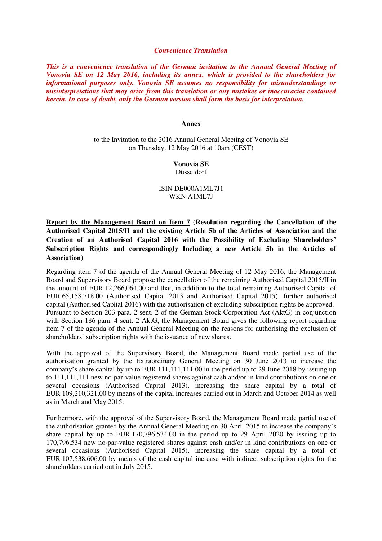## *Convenience Translation*

*This is a convenience translation of the German invitation to the Annual General Meeting of Vonovia SE on 12 May 2016, including its annex, which is provided to the shareholders for informational purposes only. Vonovia SE assumes no responsibility for misunderstandings or misinterpretations that may arise from this translation or any mistakes or inaccuracies contained herein. In case of doubt, only the German version shall form the basis for interpretation.* 

## **Annex**

to the Invitation to the 2016 Annual General Meeting of Vonovia SE on Thursday, 12 May 2016 at 10am (CEST)

## **Vonovia SE**  Düsseldorf

ISIN DE000A1ML7J1

## WKN A1ML7J

**Report by the Management Board on Item 7 (Resolution regarding the Cancellation of the Authorised Capital 2015/II and the existing Article 5b of the Articles of Association and the Creation of an Authorised Capital 2016 with the Possibility of Excluding Shareholders' Subscription Rights and correspondingly Including a new Article 5b in the Articles of Association)** 

Regarding item 7 of the agenda of the Annual General Meeting of 12 May 2016, the Management Board and Supervisory Board propose the cancellation of the remaining Authorised Capital 2015/II in the amount of EUR 12,266,064.00 and that, in addition to the total remaining Authorised Capital of EUR 65,158,718.00 (Authorised Capital 2013 and Authorised Capital 2015), further authorised capital (Authorised Capital 2016) with the authorisation of excluding subscription rights be approved. Pursuant to Section 203 para. 2 sent. 2 of the German Stock Corporation Act (AktG) in conjunction with Section 186 para. 4 sent. 2 AktG, the Management Board gives the following report regarding item 7 of the agenda of the Annual General Meeting on the reasons for authorising the exclusion of shareholders' subscription rights with the issuance of new shares.

With the approval of the Supervisory Board, the Management Board made partial use of the authorisation granted by the Extraordinary General Meeting on 30 June 2013 to increase the company's share capital by up to EUR 111,111,111.00 in the period up to 29 June 2018 by issuing up to 111,111,111 new no-par-value registered shares against cash and/or in kind contributions on one or several occasions (Authorised Capital 2013), increasing the share capital by a total of EUR 109,210,321.00 by means of the capital increases carried out in March and October 2014 as well as in March and May 2015.

Furthermore, with the approval of the Supervisory Board, the Management Board made partial use of the authorisation granted by the Annual General Meeting on 30 April 2015 to increase the company's share capital by up to EUR 170,796,534.00 in the period up to 29 April 2020 by issuing up to 170,796,534 new no-par-value registered shares against cash and/or in kind contributions on one or several occasions (Authorised Capital 2015), increasing the share capital by a total of EUR 107,538,606.00 by means of the cash capital increase with indirect subscription rights for the shareholders carried out in July 2015.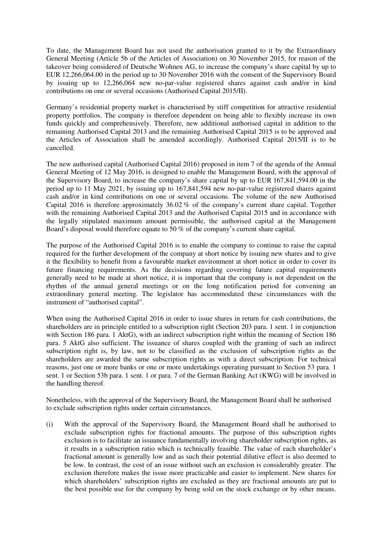To date, the Management Board has not used the authorisation granted to it by the Extraordinary General Meeting (Article 5b of the Articles of Association) on 30 November 2015, for reason of the takeover being considered of Deutsche Wohnen AG, to increase the company's share capital by up to EUR 12,266,064.00 in the period up to 30 November 2016 with the consent of the Supervisory Board by issuing up to 12,266,064 new no-par-value registered shares against cash and/or in kind contributions on one or several occasions (Authorised Capital 2015/II).

Germany's residential property market is characterised by stiff competition for attractive residential property portfolios. The company is therefore dependent on being able to flexibly increase its own funds quickly and comprehensively. Therefore, new additional authorised capital in addition to the remaining Authorised Capital 2013 and the remaining Authorised Capital 2015 is to be approved and the Articles of Association shall be amended accordingly. Authorised Capital 2015/II is to be cancelled.

The new authorised capital (Authorised Capital 2016) proposed in item 7 of the agenda of the Annual General Meeting of 12 May 2016, is designed to enable the Management Board, with the approval of the Supervisory Board, to increase the company's share capital by up to EUR 167,841,594.00 in the period up to 11 May 2021, by issuing up to 167,841,594 new no-par-value registered shares against cash and/or in kind contributions on one or several occasions. The volume of the new Authorised Capital 2016 is therefore approximately 36.02 % of the company's current share capital. Together with the remaining Authorised Capital 2013 and the Authorised Capital 2015 and in accordance with the legally stipulated maximum amount permissible, the authorised capital at the Management Board's disposal would therefore equate to 50 % of the company's current share capital.

The purpose of the Authorised Capital 2016 is to enable the company to continue to raise the capital required for the further development of the company at short notice by issuing new shares and to give it the flexibility to benefit from a favourable market environment at short notice in order to cover its future financing requirements. As the decisions regarding covering future capital requirements generally need to be made at short notice, it is important that the company is not dependent on the rhythm of the annual general meetings or on the long notification period for convening an extraordinary general meeting. The legislator has accommodated these circumstances with the instrument of "authorised capital".

When using the Authorised Capital 2016 in order to issue shares in return for cash contributions, the shareholders are in principle entitled to a subscription right (Section 203 para. 1 sent. 1 in conjunction with Section 186 para. 1 AktG), with an indirect subscription right within the meaning of Section 186 para. 5 AktG also sufficient. The issuance of shares coupled with the granting of such an indirect subscription right is, by law, not to be classified as the exclusion of subscription rights as the shareholders are awarded the same subscription rights as with a direct subscription. For technical reasons, just one or more banks or one or more undertakings operating pursuant to Section 53 para. 1 sent. 1 or Section 53b para. 1 sent. 1 or para. 7 of the German Banking Act (KWG) will be involved in the handling thereof.

Nonetheless, with the approval of the Supervisory Board, the Management Board shall be authorised to exclude subscription rights under certain circumstances.

(i) With the approval of the Supervisory Board, the Management Board shall be authorised to exclude subscription rights for fractional amounts. The purpose of this subscription rights exclusion is to facilitate an issuance fundamentally involving shareholder subscription rights, as it results in a subscription ratio which is technically feasible. The value of each shareholder's fractional amount is generally low and as such their potential dilutive effect is also deemed to be low. In contrast, the cost of an issue without such an exclusion is considerably greater. The exclusion therefore makes the issue more practicable and easier to implement. New shares for which shareholders' subscription rights are excluded as they are fractional amounts are put to the best possible use for the company by being sold on the stock exchange or by other means.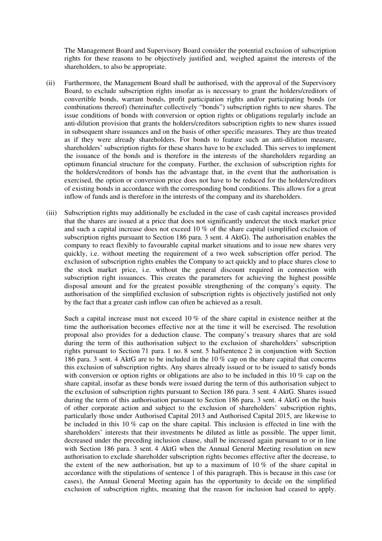The Management Board and Supervisory Board consider the potential exclusion of subscription rights for these reasons to be objectively justified and, weighed against the interests of the shareholders, to also be appropriate.

- (ii) Furthermore, the Management Board shall be authorised, with the approval of the Supervisory Board, to exclude subscription rights insofar as is necessary to grant the holders/creditors of convertible bonds, warrant bonds, profit participation rights and/or participating bonds (or combinations thereof) (hereinafter collectively "bonds") subscription rights to new shares. The issue conditions of bonds with conversion or option rights or obligations regularly include an anti-dilution provision that grants the holders/creditors subscription rights to new shares issued in subsequent share issuances and on the basis of other specific measures. They are thus treated as if they were already shareholders. For bonds to feature such an anti-dilution measure, shareholders' subscription rights for these shares have to be excluded. This serves to implement the issuance of the bonds and is therefore in the interests of the shareholders regarding an optimum financial structure for the company. Further, the exclusion of subscription rights for the holders/creditors of bonds has the advantage that, in the event that the authorisation is exercised, the option or conversion price does not have to be reduced for the holders/creditors of existing bonds in accordance with the corresponding bond conditions. This allows for a great inflow of funds and is therefore in the interests of the company and its shareholders.
- (iii) Subscription rights may additionally be excluded in the case of cash capital increases provided that the shares are issued at a price that does not significantly undercut the stock market price and such a capital increase does not exceed 10 % of the share capital (simplified exclusion of subscription rights pursuant to Section 186 para. 3 sent. 4 AktG). The authorisation enables the company to react flexibly to favourable capital market situations and to issue new shares very quickly, i.e. without meeting the requirement of a two week subscription offer period. The exclusion of subscription rights enables the Company to act quickly and to place shares close to the stock market price, i.e. without the general discount required in connection with subscription right issuances. This creates the parameters for achieving the highest possible disposal amount and for the greatest possible strengthening of the company's equity. The authorisation of the simplified exclusion of subscription rights is objectively justified not only by the fact that a greater cash inflow can often be achieved as a result.

Such a capital increase must not exceed 10 % of the share capital in existence neither at the time the authorisation becomes effective nor at the time it will be exercised. The resolution proposal also provides for a deduction clause. The company's treasury shares that are sold during the term of this authorisation subject to the exclusion of shareholders' subscription rights pursuant to Section 71 para. 1 no. 8 sent. 5 halfsentence 2 in conjunction with Section 186 para. 3 sent. 4 AktG are to be included in the 10 % cap on the share capital that concerns this exclusion of subscription rights. Any shares already issued or to be issued to satisfy bonds with conversion or option rights or obligations are also to be included in this 10 % cap on the share capital, insofar as these bonds were issued during the term of this authorisation subject to the exclusion of subscription rights pursuant to Section 186 para. 3 sent. 4 AktG. Shares issued during the term of this authorisation pursuant to Section 186 para. 3 sent. 4 AktG on the basis of other corporate action and subject to the exclusion of shareholders' subscription rights, particularly those under Authorised Capital 2013 and Authorised Capital 2015, are likewise to be included in this 10 % cap on the share capital. This inclusion is effected in line with the shareholders' interests that their investments be diluted as little as possible. The upper limit, decreased under the preceding inclusion clause, shall be increased again pursuant to or in line with Section 186 para. 3 sent. 4 AktG when the Annual General Meeting resolution on new authorisation to exclude shareholder subscription rights becomes effective after the decrease, to the extent of the new authorisation, but up to a maximum of  $10\%$  of the share capital in accordance with the stipulations of sentence 1 of this paragraph. This is because in this case (or cases), the Annual General Meeting again has the opportunity to decide on the simplified exclusion of subscription rights, meaning that the reason for inclusion had ceased to apply.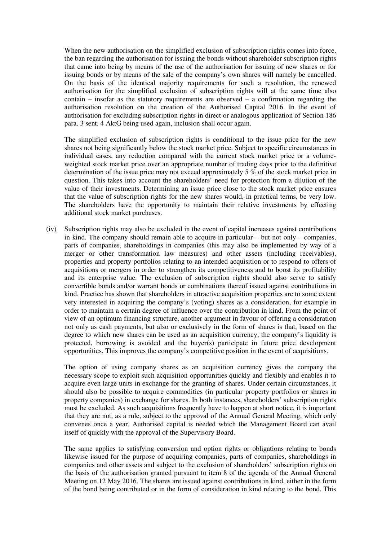When the new authorisation on the simplified exclusion of subscription rights comes into force, the ban regarding the authorisation for issuing the bonds without shareholder subscription rights that came into being by means of the use of the authorisation for issuing of new shares or for issuing bonds or by means of the sale of the company's own shares will namely be cancelled. On the basis of the identical majority requirements for such a resolution, the renewed authorisation for the simplified exclusion of subscription rights will at the same time also contain – insofar as the statutory requirements are observed – a confirmation regarding the authorisation resolution on the creation of the Authorised Capital 2016. In the event of authorisation for excluding subscription rights in direct or analogous application of Section 186 para. 3 sent. 4 AktG being used again, inclusion shall occur again.

The simplified exclusion of subscription rights is conditional to the issue price for the new shares not being significantly below the stock market price. Subject to specific circumstances in individual cases, any reduction compared with the current stock market price or a volumeweighted stock market price over an appropriate number of trading days prior to the definitive determination of the issue price may not exceed approximately 5 % of the stock market price in question. This takes into account the shareholders' need for protection from a dilution of the value of their investments. Determining an issue price close to the stock market price ensures that the value of subscription rights for the new shares would, in practical terms, be very low. The shareholders have the opportunity to maintain their relative investments by effecting additional stock market purchases.

(iv) Subscription rights may also be excluded in the event of capital increases against contributions in kind. The company should remain able to acquire in particular – but not only – companies, parts of companies, shareholdings in companies (this may also be implemented by way of a merger or other transformation law measures) and other assets (including receivables), properties and property portfolios relating to an intended acquisition or to respond to offers of acquisitions or mergers in order to strengthen its competitiveness and to boost its profitability and its enterprise value. The exclusion of subscription rights should also serve to satisfy convertible bonds and/or warrant bonds or combinations thereof issued against contributions in kind. Practice has shown that shareholders in attractive acquisition properties are to some extent very interested in acquiring the company's (voting) shares as a consideration, for example in order to maintain a certain degree of influence over the contribution in kind. From the point of view of an optimum financing structure, another argument in favour of offering a consideration not only as cash payments, but also or exclusively in the form of shares is that, based on the degree to which new shares can be used as an acquisition currency, the company's liquidity is protected, borrowing is avoided and the buyer(s) participate in future price development opportunities. This improves the company's competitive position in the event of acquisitions.

The option of using company shares as an acquisition currency gives the company the necessary scope to exploit such acquisition opportunities quickly and flexibly and enables it to acquire even large units in exchange for the granting of shares. Under certain circumstances, it should also be possible to acquire commodities (in particular property portfolios or shares in property companies) in exchange for shares. In both instances, shareholders' subscription rights must be excluded. As such acquisitions frequently have to happen at short notice, it is important that they are not, as a rule, subject to the approval of the Annual General Meeting, which only convenes once a year. Authorised capital is needed which the Management Board can avail itself of quickly with the approval of the Supervisory Board.

The same applies to satisfying conversion and option rights or obligations relating to bonds likewise issued for the purpose of acquiring companies, parts of companies, shareholdings in companies and other assets and subject to the exclusion of shareholders' subscription rights on the basis of the authorisation granted pursuant to item 8 of the agenda of the Annual General Meeting on 12 May 2016. The shares are issued against contributions in kind, either in the form of the bond being contributed or in the form of consideration in kind relating to the bond. This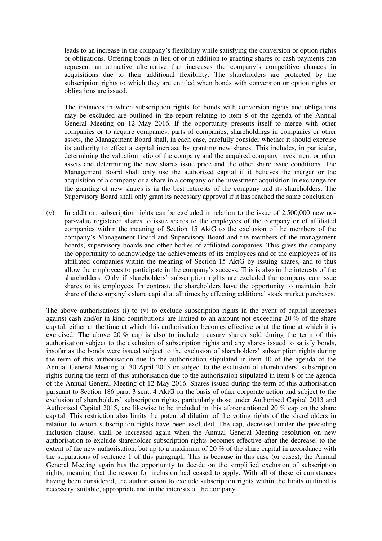leads to an increase in the company's flexibility while satisfying the conversion or option rights or obligations. Offering bonds in lieu of or in addition to granting shares or cash payments can represent an attractive alternative that increases the company's competitive chances in acquisitions due to their additional flexibility. The shareholders are protected by the subscription rights to which they are entitled when bonds with conversion or option rights or obligations are issued.

The instances in which subscription rights for bonds with conversion rights and obligations may be excluded are outlined in the report relating to item 8 of the agenda of the Annual General Meeting on 12 May 2016. If the opportunity presents itself to merge with other companies or to acquire companies, parts of companies, shareholdings in companies or other assets, the Management Board shall, in each case, carefully consider whether it should exercise its authority to effect a capital increase by granting new shares. This includes, in particular, determining the valuation ratio of the company and the acquired company investment or other assets and determining the new shares issue price and the other share issue conditions. The Management Board shall only use the authorised capital if it believes the merger or the acquisition of a company or a share in a company or the investment acquisition in exchange for the granting of new shares is in the best interests of the company and its shareholders. The Supervisory Board shall only grant its necessary approval if it has reached the same conclusion.

(v) In addition, subscription rights can be excluded in relation to the issue of 2,500,000 new nopar-value registered shares to issue shares to the employees of the company or of affiliated companies within the meaning of Section 15 AktG to the exclusion of the members of the company's Management Board and Supervisory Board and the members of the management boards, supervisory boards and other bodies of affiliated companies. This gives the company the opportunity to acknowledge the achievements of its employees and of the employees of its affiliated companies within the meaning of Section 15 AktG by issuing shares, and to thus allow the employees to participate in the company's success. This is also in the interests of the shareholders. Only if shareholders' subscription rights are excluded the company can issue shares to its employees. In contrast, the shareholders have the opportunity to maintain their share of the company's share capital at all times by effecting additional stock market purchases.

The above authorisations (i) to (v) to exclude subscription rights in the event of capital increases against cash and/or in kind contributions are limited to an amount not exceeding 20 % of the share capital, either at the time at which this authorisation becomes effective or at the time at which it is exercised. The above 20 % cap is also to include treasury shares sold during the term of this authorisation subject to the exclusion of subscription rights and any shares issued to satisfy bonds, insofar as the bonds were issued subject to the exclusion of shareholders' subscription rights during the term of this authorisation due to the authorisation stipulated in item 10 of the agenda of the Annual General Meeting of 30 April 2015 or subject to the exclusion of shareholders' subscription rights during the term of this authorisation due to the authorisation stipulated in item 8 of the agenda of the Annual General Meeting of 12 May 2016. Shares issued during the term of this authorisation pursuant to Section 186 para. 3 sent. 4 AktG on the basis of other corporate action and subject to the exclusion of shareholders' subscription rights, particularly those under Authorised Capital 2013 and Authorised Capital 2015, are likewise to be included in this aforementioned 20 % cap on the share capital. This restriction also limits the potential dilution of the voting rights of the shareholders in relation to whom subscription rights have been excluded. The cap, decreased under the preceding inclusion clause, shall be increased again when the Annual General Meeting resolution on new authorisation to exclude shareholder subscription rights becomes effective after the decrease, to the extent of the new authorisation, but up to a maximum of 20 % of the share capital in accordance with the stipulations of sentence 1 of this paragraph. This is because in this case (or cases), the Annual General Meeting again has the opportunity to decide on the simplified exclusion of subscription rights, meaning that the reason for inclusion had ceased to apply. With all of these circumstances having been considered, the authorisation to exclude subscription rights within the limits outlined is necessary, suitable, appropriate and in the interests of the company.